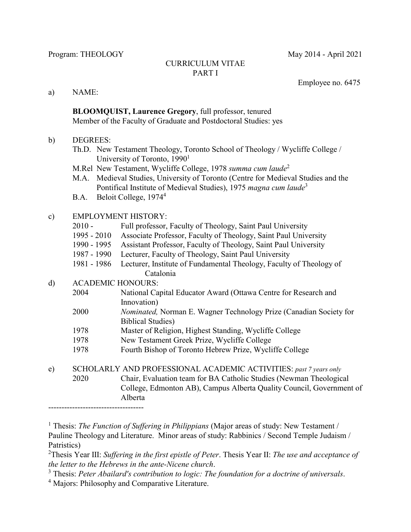#### CURRICULUM VITAE PART I

Employee no. 6475

a) NAME:

**BLOOMQUIST, Laurence Gregory**, full professor, tenured Member of the Faculty of Graduate and Postdoctoral Studies: yes

#### b) DEGREES:

- Th.D. New Testament Theology, Toronto School of Theology / Wycliffe College / University of Toronto, 1990<sup>1</sup>
- M.Rel New Testament, Wycliffe College, 1978 *summa cum laude*<sup>2</sup>
- M.A. Medieval Studies, University of Toronto (Centre for Medieval Studies and the Pontifical Institute of Medieval Studies), 1975 *magna cum laude*<sup>3</sup>
- B.A. Beloit College, 1974<sup>4</sup>

### c) EMPLOYMENT HISTORY:

- 2010 Full professor, Faculty of Theology, Saint Paul University
- 1995 2010 Associate Professor, Faculty of Theology, Saint Paul University
- 1990 1995 Assistant Professor, Faculty of Theology, Saint Paul University
- 1987 1990 Lecturer, Faculty of Theology, Saint Paul University
- 1981 1986 Lecturer, Institute of Fundamental Theology, Faculty of Theology of Catalonia

### d) ACADEMIC HONOURS:

- 2004 National Capital Educator Award (Ottawa Centre for Research and Innovation)
- 2000 *Nominated,* Norman E. Wagner Technology Prize (Canadian Society for Biblical Studies)
- 1978 Master of Religion, Highest Standing, Wycliffe College
- 1978 New Testament Greek Prize, Wycliffe College
- 1978 Fourth Bishop of Toronto Hebrew Prize, Wycliffe College

<sup>1</sup> Thesis: *The Function of Suffering in Philippians* (Major areas of study: New Testament / Pauline Theology and Literature. Minor areas of study: Rabbinics / Second Temple Judaism / Patristics)

2 Thesis Year III: *Suffering in the first epistle of Peter*. Thesis Year II: *The use and acceptance of the letter to the Hebrews in the ante-Nicene church*.

- 3 Thesis: *Peter Abailard's contribution to logic: The foundation for a doctrine of universals*.
- <sup>4</sup> Majors: Philosophy and Comparative Literature.

e) SCHOLARLY AND PROFESSIONAL ACADEMIC ACTIVITIES: *past 7 years only* 2020 Chair, Evaluation team for BA Catholic Studies (Newman Theological College, Edmonton AB), Campus Alberta Quality Council, Government of Alberta ------------------------------------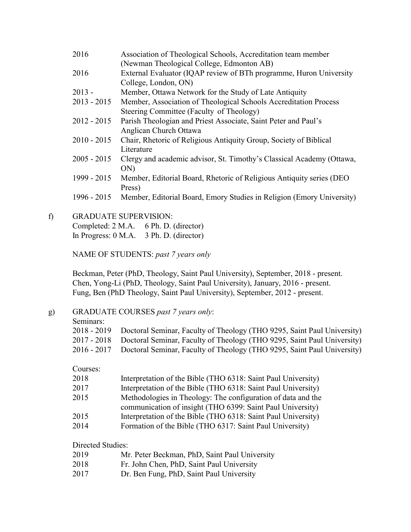| 2016          | Association of Theological Schools, Accreditation team member         |
|---------------|-----------------------------------------------------------------------|
|               | (Newman Theological College, Edmonton AB)                             |
| 2016          | External Evaluator (IQAP review of BTh programme, Huron University    |
|               | College, London, ON)                                                  |
| $2013 -$      | Member, Ottawa Network for the Study of Late Antiquity                |
| $2013 - 2015$ | Member, Association of Theological Schools Accreditation Process      |
|               | Steering Committee (Faculty of Theology)                              |
| $2012 - 2015$ | Parish Theologian and Priest Associate, Saint Peter and Paul's        |
|               | Anglican Church Ottawa                                                |
| $2010 - 2015$ | Chair, Rhetoric of Religious Antiquity Group, Society of Biblical     |
|               | Literature                                                            |
| $2005 - 2015$ | Clergy and academic advisor, St. Timothy's Classical Academy (Ottawa, |
|               | ON)                                                                   |
| 1999 - 2015   | Member, Editorial Board, Rhetoric of Religious Antiquity series (DEO  |
|               | Press)                                                                |
| 1996 - 2015   | Member, Editorial Board, Emory Studies in Religion (Emory University) |
|               |                                                                       |

f) GRADUATE SUPERVISION: Completed: 2 M.A. 6 Ph. D. (director) In Progress: 0 M.A. 3 Ph. D. (director)

NAME OF STUDENTS: *past 7 years only*

Beckman, Peter (PhD, Theology, Saint Paul University), September, 2018 - present. Chen, Yong-Li (PhD, Theology, Saint Paul University), January, 2016 - present. Fung, Ben (PhD Theology, Saint Paul University), September, 2012 - present.

### g) GRADUATE COURSES *past 7 years only*:

Seminars:

| 2018 - 2019 Doctoral Seminar, Faculty of Theology (THO 9295, Saint Paul University) |
|-------------------------------------------------------------------------------------|
| 2017 - 2018 Doctoral Seminar, Faculty of Theology (THO 9295, Saint Paul University) |
| 2016 - 2017 Doctoral Seminar, Faculty of Theology (THO 9295, Saint Paul University) |

Courses:

| 2018 | Interpretation of the Bible (THO 6318: Saint Paul University) |
|------|---------------------------------------------------------------|
| 2017 | Interpretation of the Bible (THO 6318: Saint Paul University) |
| 2015 | Methodologies in Theology: The configuration of data and the  |
|      | communication of insight (THO 6399: Saint Paul University)    |

- 2015 Interpretation of the Bible (THO 6318: Saint Paul University)
- 2014 Formation of the Bible (THO 6317: Saint Paul University)

Directed Studies:

| 2019 | Mr. Peter Beckman, PhD, Saint Paul University |
|------|-----------------------------------------------|
|------|-----------------------------------------------|

- 2018 Fr. John Chen, PhD, Saint Paul University
- 2017 Dr. Ben Fung, PhD, Saint Paul University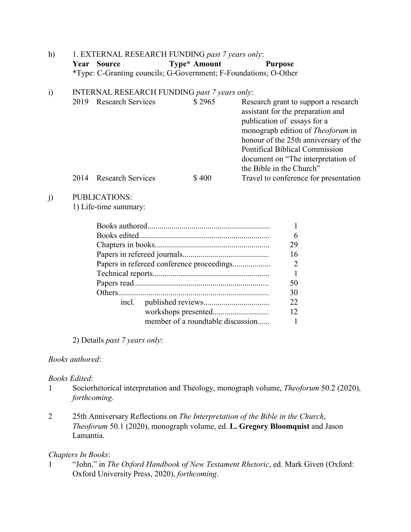| h) |             | 1. EXTERNAL RESEARCH FUNDING past 7 years only:                  |                |
|----|-------------|------------------------------------------------------------------|----------------|
|    | Year Source | Type* Amount                                                     | <b>Purpose</b> |
|    |             | *Type: C-Granting councils; G-Government; F-Foundations; O-Other |                |

### i) INTERNAL RESEARCH FUNDING *past 7 years only*:

| 2019 | <b>Research Services</b> | \$2965 | Research grant to support a research<br>assistant for the preparation and<br>publication of essays for a<br>monograph edition of <i>Theoforum</i> in<br>honour of the 25th anniversary of the<br>Pontifical Biblical Commission<br>document on "The interpretation of |
|------|--------------------------|--------|-----------------------------------------------------------------------------------------------------------------------------------------------------------------------------------------------------------------------------------------------------------------------|
| 2014 | <b>Research Services</b> | \$400  | the Bible in the Church"<br>Travel to conference for presentation                                                                                                                                                                                                     |
|      |                          |        |                                                                                                                                                                                                                                                                       |

### j) PUBLICATIONS:

1) Life-time summary:

|       |                                           | 6                           |
|-------|-------------------------------------------|-----------------------------|
|       |                                           | 29                          |
|       |                                           | 16                          |
|       | Papers in refereed conference proceedings | $\mathcal{D}_{\mathcal{L}}$ |
|       |                                           |                             |
|       |                                           | 50                          |
|       |                                           | 30                          |
| incl. |                                           | 22                          |
|       |                                           | 12                          |
|       | member of a roundtable discussion         |                             |

2) Details *past 7 years only*:

## *Books authored*:

### *Books Edited*:

- 1 Sociorhetorical interpretation and Theology, monograph volume, *Theoforum* 50.2 (2020), *forthcoming*.
- 2 25th Anniversary Reflections on *The Interpretation of the Bible in the Church*, *Theoforum* 50.1 (2020), monograph volume, ed. **L. Gregory Bloomquist** and Jason Lamantia.

### *Chapters In Books*:

1 "John," in *The Oxford Handbook of New Testament Rhetoric*, ed. Mark Given (Oxford: Oxford University Press, 2020), *forthcoming*.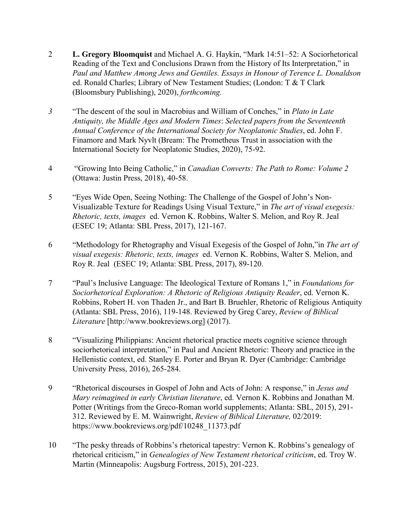- 2 **L. Gregory Bloomquist** and Michael A. G. Haykin, "Mark 14:51–52: A Sociorhetorical Reading of the Text and Conclusions Drawn from the History of Its Interpretation," in *Paul and Matthew Among Jews and Gentiles. Essays in Honour of Terence L. Donaldson* ed. Ronald Charles; Library of New Testament Studies; (London: T & T Clark (Bloomsbury Publishing), 2020), *forthcoming.*
- *3* "The descent of the soul in Macrobius and William of Conches," in *Plato in Late Antiquity, the Middle Ages and Modern Times*: *Selected papers from the Seventeenth Annual Conference of the International Society for Neoplatonic Studies*, ed. John F. Finamore and Mark Nyvlt (Bream: The Prometheus Trust in association with the International Society for Neoplatonic Studies, 2020), 75-92.
- 4 "Growing Into Being Catholic," in *Canadian Converts: The Path to Rome: Volume 2* (Ottawa: Justin Press, 2018), 40-58.
- 5 "Eyes Wide Open, Seeing Nothing: The Challenge of the Gospel of John's Non-Visualizable Texture for Readings Using Visual Texture," in *The art of visual exegesis: Rhetoric, texts, images* ed. Vernon K. Robbins, Walter S. Melion, and Roy R. Jeal (ESEC 19; Atlanta: SBL Press, 2017), 121-167.
- 6 "Methodology for Rhetography and Visual Exegesis of the Gospel of John,"in *The art of visual exegesis: Rhetoric, texts, images* ed. Vernon K. Robbins, Walter S. Melion, and Roy R. Jeal (ESEC 19; Atlanta: SBL Press, 2017), 89-120.
- 7 "Paul's Inclusive Language: The Ideological Texture of Romans 1," in *Foundations for Sociorhetorical Exploration: A Rhetoric of Religious Antiquity Reader*, ed. Vernon K. Robbins, Robert H. von Thaden Jr., and Bart B. Bruehler, Rhetoric of Religious Antiquity (Atlanta: SBL Press, 2016), 119-148. Reviewed by Greg Carey, *Review of Biblical Literature* [http://www.bookreviews.org] (2017).
- 8 "Visualizing Philippians: Ancient rhetorical practice meets cognitive science through sociorhetorical interpretation," in Paul and Ancient Rhetoric: Theory and practice in the Hellenistic context, ed. Stanley E. Porter and Bryan R. Dyer (Cambridge: Cambridge University Press, 2016), 265-284.
- 9 "Rhetorical discourses in Gospel of John and Acts of John: A response," in *Jesus and Mary reimagined in early Christian literature*, ed. Vernon K. Robbins and Jonathan M. Potter (Writings from the Greco-Roman world supplements; Atlanta: SBL, 2015), 291- 312. Reviewed by E. M. Wainwright, *Review of Biblical Literature,* 02/2019: https://www.bookreviews.org/pdf/10248\_11373.pdf
- 10 "The pesky threads of Robbins's rhetorical tapestry: Vernon K. Robbins's genealogy of rhetorical criticism," in *Genealogies of New Testament rhetorical criticism*, ed. Troy W. Martin (Minneapolis: Augsburg Fortress, 2015), 201-223.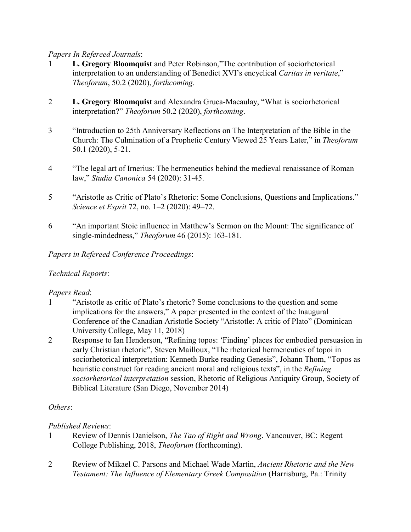### *Papers In Refereed Journals*:

- 1 **L. Gregory Bloomquist** and Peter Robinson,"The contribution of sociorhetorical interpretation to an understanding of Benedict XVI's encyclical *Caritas in veritate*," *Theoforum*, 50.2 (2020), *forthcoming*.
- 2 **L. Gregory Bloomquist** and Alexandra Gruca-Macaulay, "What is sociorhetorical interpretation?" *Theoforum* 50.2 (2020), *forthcoming*.
- 3 "Introduction to 25th Anniversary Reflections on The Interpretation of the Bible in the Church: The Culmination of a Prophetic Century Viewed 25 Years Later," in *Theoforum* 50.1 (2020), 5-21.
- 4 "The legal art of Irnerius: The hermeneutics behind the medieval renaissance of Roman law," *Studia Canonica* 54 (2020): 31-45.
- 5 "Aristotle as Critic of Plato's Rhetoric: Some Conclusions, Questions and Implications." *Science et Esprit* 72, no. 1–2 (2020): 49–72.
- 6 "An important Stoic influence in Matthew's Sermon on the Mount: The significance of single-mindedness," *Theoforum* 46 (2015): 163-181.

# *Papers in Refereed Conference Proceedings*:

# *Technical Reports*:

# *Papers Read*:

- 1 "Aristotle as critic of Plato's rhetoric? Some conclusions to the question and some implications for the answers," A paper presented in the context of the Inaugural Conference of the Canadian Aristotle Society "Aristotle: A critic of Plato" (Dominican University College, May 11, 2018)
- 2 Response to Ian Henderson, "Refining topos: 'Finding' places for embodied persuasion in early Christian rhetoric", Steven Mailloux, "The rhetorical hermeneutics of topoi in sociorhetorical interpretation: Kenneth Burke reading Genesis", Johann Thom, "Topos as heuristic construct for reading ancient moral and religious texts", in the *Refining sociorhetorical interpretation* session, Rhetoric of Religious Antiquity Group, Society of Biblical Literature (San Diego, November 2014)

# *Others*:

# *Published Reviews*:

- 1 Review of Dennis Danielson, *The Tao of Right and Wrong*. Vancouver, BC: Regent College Publishing, 2018, *Theoforum* (forthcoming).
- 2 Review of Mikael C. Parsons and Michael Wade Martin, *Ancient Rhetoric and the New Testament: The Influence of Elementary Greek Composition* (Harrisburg, Pa.: Trinity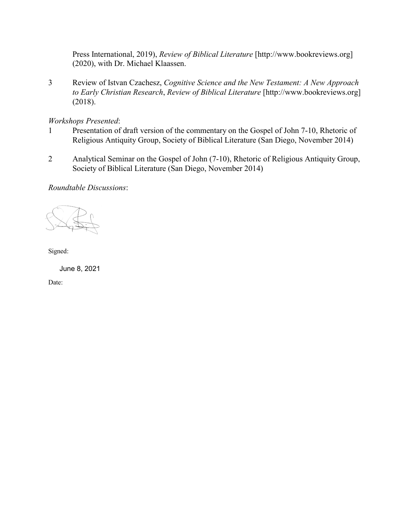Press International, 2019), *Review of Biblical Literature* [http://www.bookreviews.org] (2020), with Dr. Michael Klaassen.

3 Review of Istvan Czachesz, *Cognitive Science and the New Testament: A New Approach to Early Christian Research*, *Review of Biblical Literature* [http://www.bookreviews.org] (2018).

#### *Workshops Presented*:

- 1 Presentation of draft version of the commentary on the Gospel of John 7-10, Rhetoric of Religious Antiquity Group, Society of Biblical Literature (San Diego, November 2014)
- 2 Analytical Seminar on the Gospel of John (7-10), Rhetoric of Religious Antiquity Group, Society of Biblical Literature (San Diego, November 2014)

#### *Roundtable Discussions*:

Signed:

June 8, 2021

Date: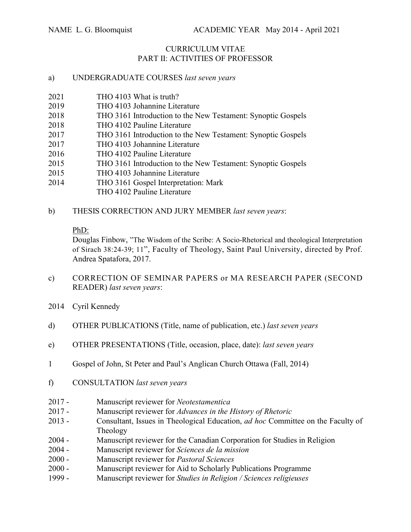# CURRICULUM VITAE PART II: ACTIVITIES OF PROFESSOR

### a) UNDERGRADUATE COURSES *last seven years*

- 2021 THO 4103 What is truth?
- 2019 THO 4103 Johannine Literature
- 2018 THO 3161 Introduction to the New Testament: Synoptic Gospels
- 2018 THO 4102 Pauline Literature
- 2017 THO 3161 Introduction to the New Testament: Synoptic Gospels
- 2017 THO 4103 Johannine Literature
- 2016 THO 4102 Pauline Literature
- 2015 THO 3161 Introduction to the New Testament: Synoptic Gospels
- 2015 THO 4103 Johannine Literature
- 2014 THO 3161 Gospel Interpretation: Mark
	- THO 4102 Pauline Literature
- b) THESIS CORRECTION AND JURY MEMBER *last seven years*:

### PhD:

Douglas Finbow, "The Wisdom of the Scribe: A Socio-Rhetorical and theological Interpretation of Sirach 38:24-39; 11", Faculty of Theology, Saint Paul University, directed by Prof. Andrea Spatafora, 2017.

- c) CORRECTION OF SEMINAR PAPERS or MA RESEARCH PAPER (SECOND READER) *last seven years*:
- 2014 Cyril Kennedy
- d) OTHER PUBLICATIONS (Title, name of publication, etc.) *last seven years*
- e) OTHER PRESENTATIONS (Title, occasion, place, date): *last seven years*
- 1 Gospel of John, St Peter and Paul's Anglican Church Ottawa (Fall, 2014)
- f) CONSULTATION *last seven years*
- 2017 Manuscript reviewer for *Neotestamentica*
- 2017 Manuscript reviewer for *Advances in the History of Rhetoric*
- 2013 Consultant, Issues in Theological Education, *ad hoc* Committee on the Faculty of Theology
- 2004 Manuscript reviewer for the Canadian Corporation for Studies in Religion
- 2004 Manuscript reviewer for *Sciences de la mission*
- 2000 Manuscript reviewer for *Pastoral Sciences*
- 2000 Manuscript reviewer for Aid to Scholarly Publications Programme
- 1999 Manuscript reviewer for *Studies in Religion / Sciences religieuses*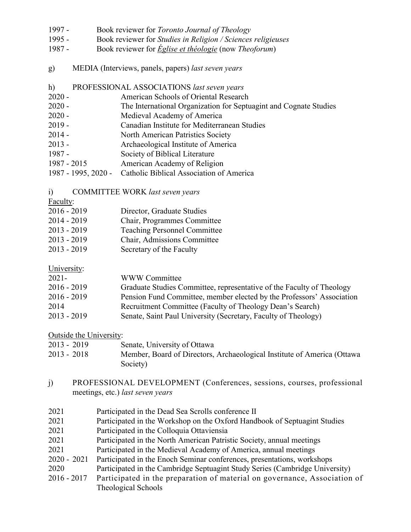- 1997 Book reviewer for *Toronto Journal of Theology*
- 1995 Book reviewer for *Studies in Religion / Sciences religieuses*
- 1987 Book reviewer for *Église et théologie* (now *Theoforum*)
- g) MEDIA (Interviews, panels, papers) *last seven years*
- h) PROFESSIONAL ASSOCIATIONS *last seven years*
- 2020 American Schools of Oriental Research
- 2020 The International Organization for Septuagint and Cognate Studies
- 2020 Medieval Academy of America
- 2019 Canadian Institute for Mediterranean Studies
- 2014 North American Patristics Society
- 2013 Archaeological Institute of America
- 1987 Society of Biblical Literature
- 1987 2015 American Academy of Religion
- 1987 1995, 2020 Catholic Biblical Association of America
- i) COMMITTEE WORK *last seven years*
- Faculty:
- 2016 2019 Director, Graduate Studies
- 2014 2019 Chair, Programmes Committee
- 2013 2019 Teaching Personnel Committee
- 2013 2019 Chair, Admissions Committee
- 2013 2019 Secretary of the Faculty

### University:

| $2021 -$      | WWW Committee                                                         |
|---------------|-----------------------------------------------------------------------|
| $2016 - 2019$ | Graduate Studies Committee, representative of the Faculty of Theology |
| $2016 - 2019$ | Pension Fund Committee, member elected by the Professors' Association |
| 2014          | Recruitment Committee (Faculty of Theology Dean's Search)             |
| $2013 - 2019$ | Senate, Saint Paul University (Secretary, Faculty of Theology)        |

### Outside the University:

| $2013 - 2019$ | Senate, University of Ottawa                                            |
|---------------|-------------------------------------------------------------------------|
| $2013 - 2018$ | Member, Board of Directors, Archaeological Institute of America (Ottawa |
|               | Society)                                                                |

- j) PROFESSIONAL DEVELOPMENT (Conferences, sessions, courses, professional meetings, etc.) *last seven years*
- 2021 Participated in the Dead Sea Scrolls conference II
- 2021 Participated in the Workshop on the Oxford Handbook of Septuagint Studies
- 2021 Participated in the Colloquia Ottaviensia
- 2021 Participated in the North American Patristic Society, annual meetings
- 2021 Participated in the Medieval Academy of America, annual meetings
- 2020 2021 Participated in the Enoch Seminar conferences, presentations, workshops
- 2020 Participated in the Cambridge Septuagint Study Series (Cambridge University)
- 2016 2017 Participated in the preparation of material on governance, Association of Theological Schools